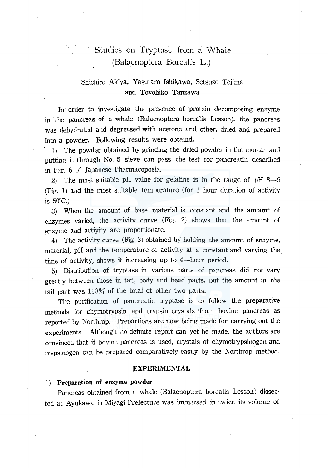# Studies on Tryptase from a Whale (Balaenoptera Borealis L.)

# Shichiro Akiya, Yasutaro Ishikawa, Setsuzo Tejima and Toyohiko Tanzawa

In order to investigate the presence of protein decomposing enzyme in the pancreas of a whale (Balaenoptera borealis Lesson), the pancreas was dehydrated and degreased with acetone and other, dried and prepared into a powder. Following results were obtaind.

- 1) The powder obtained by grinding the dried powder in the mortar and putting it through No. 5 sieve can pass the test for pancreatin described in Par. 6 of Japanese Pharmacopoeia.

2) The most suitable pH value for gelatine is in the range of pH  $8-9$ (Fig. 1) and the most suitable temperature (for 1 hour duration of activity is  $50^{\circ}$ C.)

3) When the amount of base material is constant and the amount of enzymes varied, the activity curve (Fig. 2) shows that the amount of enzyme and actiyity are proportionate.

4) The activity curve (Fig. 3) obtained by holding the amount of enzyme, material, pH and the temperature of activity at a constant and varying the time of activity, shows it increasing up to  $4$ —hour period.

5) Distribution of tryptase in various parts of pancreas did not vary greatly between those in tail, body and head parts, but the amount in the tail part was 110% of the total of other two parts.

The purification of pancreatic tryptase is to follow the preparative methods for chymotrypsin and trypsin crystals irom bovine pancreas as reported by Northrop. Prepartions are now being made for carrying out the experiments. Although no definite report can yet be made, the authors are convinced that if bovine pancreas is used, crystals of chymotrypsinogen and trypsinogen can be prepared comparatively easily by the Northrop method.

#### **EXPERIMENTAL**

# **1) Preparation of enzyme powder**

Pancreas obtained from a whale (Balaenoptera borealis Lesson) dissected at Ayukawa in Miyagi Prefecture was imnersed in twice its volume of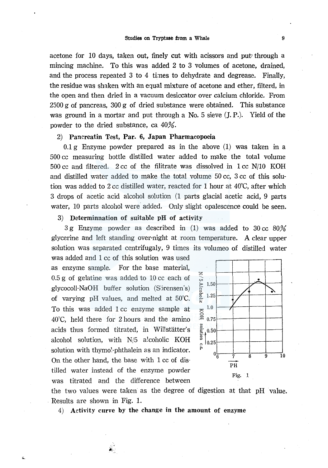acetone for 10 days, taken out, finely cut with acissors and put through a mincing machine. To this was added 2 to 3 volumes of acetone, drained, and the process repeated  $3$  to  $4$  times to dehydrate and degrease. Finally, the residue was shaken with an equal mixture of acetone and ether, filterd, in the open and then dried in a vacuum desiccator over calcium chloride. From  $2500$  g of pancreas,  $300$  g of dried substance were obtained. This substance was ground in a mortar and put through a No. 5 sieve (J.P.). Yield of the powder to the dried substance, ea 40%.

## 2) Panereatin Test, Par. 6, Japan Pharmacopoeia

 $0.1$  g Enzyme powder prepared as in the above  $(1)$  was taken in a 500 cc measuring bottle distilled water added to make the total volume 500 cc and filtered. 2 cc of the filitrate was dissolved in 1 cc N/10 KOH and distilled water added to make the total volume 50 cc, 3 cc of this solution was added to 2 cc distilled water, reacted for 1 hour at 40°C, after which 3 drops of acetic acid alcohol solution (1 parts glacial acetic acid, 9 parts water, 10 parts alcohol were added. Only slight opalescence could be seen.

### 3) Determinnation of suitable pH of activity

 $3\,\mathrm{g}$  Enzyme powder as described in (1) was added to  $30\,\mathrm{cc}$   $80\%$ glycerine and left standing over-night at room temperature. A clear upper solution was separated centrifugaly, 9 times its volumeo of distilled water

was added and 1 cc of this solution was used as enzyme sample. For the base material, 0.5 g of gelatine was added to 10 cc each of glycocoll-NaOH buffer solution (Sorensen's) of varying pH values, and melted at 50°C. To this was added 1 cc enzyme sample at 40°C, held there for 2 hours and the amino acids thus formed titrated, in Willstatter's alcohol solution, with N/5 alcoholic KOH solution with thymo!-phthalein as an indicator. On the other hand, the base with 1 cc of distilled water instead of the enzyme powder was titrated and the difference between

 $\hat{\mathbf{z}}$ 



the two values were taken as the degree of digestion at that pH value. . Results are shown in Fig. 1.

4) Activity curve by the change in the amount of enzyme